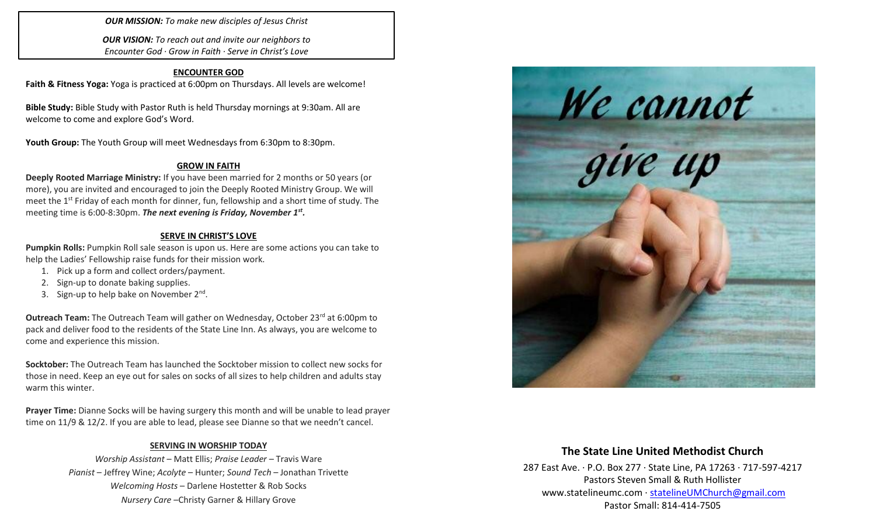*OUR MISSION: To make new disciples of Jesus Christ*

*OUR VISION: To reach out and invite our neighbors to Encounter God · Grow in Faith · Serve in Christ's Love*

#### **ENCOUNTER GOD**

**Faith & Fitness Yoga:** Yoga is practiced at 6:00pm on Thursdays. All levels are welcome!

**Bible Study:** Bible Study with Pastor Ruth is held Thursday mornings at 9:30am. All are welcome to come and explore God's Word.

Youth Group: The Youth Group will meet Wednesdays from 6:30pm to 8:30pm.

#### **GROW IN FAITH**

**Deeply Rooted Marriage Ministry:** If you have been married for 2 months or 50 years (or more), you are invited and encouraged to join the Deeply Rooted Ministry Group. We will meet the 1<sup>st</sup> Friday of each month for dinner, fun, fellowship and a short time of study. The meeting time is 6:00-8:30pm. *The next evening is Friday, November 1st .* 

#### **SERVE IN CHRIST'S LOVE**

**Pumpkin Rolls:** Pumpkin Roll sale season is upon us. Here are some actions you can take to help the Ladies' Fellowship raise funds for their mission work.

- 1. Pick up a form and collect orders/payment.
- 2. Sign-up to donate baking supplies.
- 3. Sign-up to help bake on November 2<sup>nd</sup>.

**Outreach Team:** The Outreach Team will gather on Wednesday, October 23<sup>rd</sup> at 6:00pm to pack and deliver food to the residents of the State Line Inn. As always, you are welcome to come and experience this mission.

**Socktober:** The Outreach Team has launched the Socktober mission to collect new socks for those in need. Keep an eye out for sales on socks of all sizes to help children and adults stay warm this winter.

**Prayer Time:** Dianne Socks will be having surgery this month and will be unable to lead prayer time on 11/9 & 12/2. If you are able to lead, please see Dianne so that we needn't cancel.

#### **SERVING IN WORSHIP TODAY**

*Worship Assistant* – Matt Ellis; *Praise Leader* – Travis Ware *Pianist* – Jeffrey Wine; *Acolyte* – Hunter; *Sound Tech* – Jonathan Trivette *Welcoming Hosts* – Darlene Hostetter & Rob Socks *Nursery Care* –Christy Garner & Hillary Grove



# **The State Line United Methodist Church**

287 East Ave. · P.O. Box 277 · State Line, PA 17263 · 717-597-4217 Pastors Steven Small & Ruth Hollister [www.statelineumc.com](http://www.statelineumc.com/) · [statelineUMChurch@gmail.com](mailto:statelineUMChurch@gmail.com) Pastor Small: 814-414-7505